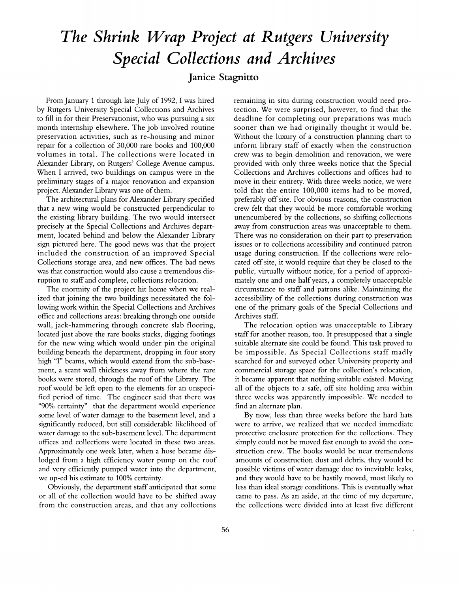# *The Shrink Wrap Project at Rutgers University Special Collections and Archives*

# Janice Stagnitto

From January 1 through late July of 1992, I was hired by Rutgers University Special Collections and Archives to fill in for their Preservationist, who was pursuing a six month internship elsewhere. The job involved routine preservation activities, such as re-housing and minor repair for a collection of 30,000 rare books and 100,000 volumes in total. The collections were located in Alexander Library, on Rutgers' College Avenue campus. When I arrived, two buildings on campus were in the preliminary stages of a major renovation and expansion project. Alexander Library was one of them.

The architectural plans for Alexander Library specified that a new wing would be constructed perpendicular to the existing library building. The two would intersect precisely at the Special Collections and Archives department, located behind and below the Alexander Library sign pictured here. The good news was that the project included the construction of an improved Special Collections storage area, and new offices. The bad news was that construction would also cause a tremendous disruption to staff and complete, collections relocation.

The enormity of the project hit home when we realized that joining the two buildings necessitated the following work within the Special Collections and Archives office and collections areas: breaking through one outside wall, jack-hammering through concrete slab flooring, located just above the rare books stacks, digging footings for the new wing which would under pin the original building beneath the department, dropping in four story high "I" beams, which would extend from the sub-basement, a scant wall thickness away from where the rare books were stored, through the roof of the Library. The roof would be left open to the elements for an unspecified period of time. The engineer said that there was "90% certainty" that the department would experience some level of water damage to the basement level, and a significantly reduced, but still considerable likelihood of water damage to the sub-basement level. The department offices and collections were located in these two areas. Approximately one week later, when a hose became dislodged from a high efficiency water pump on the roof and very efficiently pumped water into the department, we up-ed his estimate to 100% certainty.

Obviously, the department staff anticipated that some or all of the collection would have to be shifted away from the construction areas, and that any collections remaining in situ during construction would need protection. We were surprised, however, to find that the deadline for completing our preparations was much sooner than we had originally thought it would be. Without the luxury of a construction planning chart to inform library staff of exactly when the construction crew was to begin demolition and renovation, we were provided with only three weeks notice that the Special Collections and Archives collections and offices had to move in their entirety. With three weeks notice, we were told that the entire 100,000 items had to be moved, preferably off site. For obvious reasons, the construction crew felt that they would be more comfortable working unencumbered by the collections, so shifting collections away from construction areas was unacceptable to them. There was no consideration on their part to preservation issues or to collections accessibility and continued patron usage during construction. If the collections were relocated off site, it would require that they be closed to the public, virtually without notice, for a period of approximately one and one half years, a completely unacceptable circumstance to staff and patrons alike. Maintaining the accessibility of the collections during construction was one of the primary goals of the Special Collections and Archives staff.

The relocation option was unacceptable to Library staff for another reason, too. It presupposed that a single suitable alternate site could be found. This task proved to be impossible. As Special Collections staff madly searched for and surveyed other University property and commercial storage space for the collection's relocation, it became apparent that nothing suitable existed. Moving all of the objects to a safe, off site holding area within three weeks was apparently impossible. We needed to find an alternate plan.

By now, less than three weeks before the hard hats were to arrive, we realized that we needed immediate protective enclosure protection for the collections. They simply could not be moved fast enough to avoid the construction crew. The books would be near tremendous amounts of construction dust and debris, they would be possible victims of water damage due to inevitable leaks, and they would have to be hastily moved, most likely to less than ideal storage conditions. This is eventually what came to pass. As an aside, at the time of my departure, the collections were divided into at least five different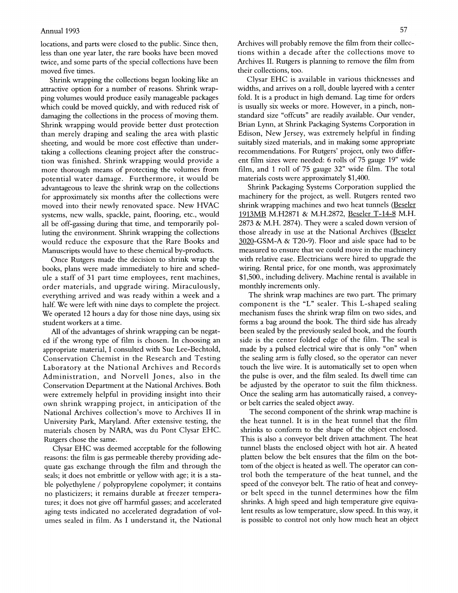locations, and parts were closed to the public. Since then, less than one year later, the rare books have been moved twice, and some parts of the special collections have been moved five times.

Shrink wrapping the collections began looking like an attractive option for a number of reasons. Shrink wrapping volumes would produce easily manageable packages which could be moved quickly, and with reduced risk of damaging the collections in the process of moving them. Shrink wrapping would provide better dust protection than merely draping and sealing the area with plastic sheeting, and would be more cost effective than undertaking a collections cleaning project after the construction was finished. Shrink wrapping would provide a more thorough means of protecting the volumes from potential water damage. Furthermore, it would be advantageous to leave the shrink wrap on the collections for approximately six months after the collections were moved into their newly renovated space. New HVAC systems, new walls, spackle, paint, flooring, etc., would all be off-gassing during that time, and temporarily polluting the environment. Shrink wrapping the collections would reduce the exposure that the Rare Books and Manuscripts would have to these chemical by-products.

Once Rutgers made the decision to shrink wrap the books, plans were made immediately to hire and schedule a staff of 31 part time employees, rent machines, order materials, and upgrade wiring. Miraculously, everything arrived and was ready within a week and a half. We were left with nine days to complete the project. We operated 12 hours a day for those nine days, using six student workers at a time.

All of the advantages of shrink wrapping can be negated if the wrong type of film is chosen. In choosing an appropriate material, I consulted with Sue Lee-Bechtold, Conservation Chemist in the Research and Testing Laboratory at the National Archives and Records Administration, and Norvell Jones, also in the Conservation Department at the National Archives. Both were extremely helpful in providing insight into their own shrink wrapping project, in anticipation of the National Archives collection's move to Archives II in University Park, Maryland. After extensive testing, the materials chosen by NARA, was du Pont Clysar EHC. Rutgers chose the same.

Clysar EHC was deemed acceptable for the following reasons: the film is gas permeable thereby providing adequate gas exchange through the film and through the seals; it does not embrittle or yellow with age; it is a stable polyethylene / polypropylene copolymer; it contains no plasticizers; it remains durable at freezer temperatures; it does not give off harmful gasses; and accelerated aging tests indicated no accelerated degradation of volumes sealed in film. As I understand it, the National

Archives will probably remove the film from their collections within a decade after the collections move to Archives II. Rutgers is planning to remove the film from their collections, too.

Clysar EHC is available in various thicknesses and widths, and arrives on a roll, double layered with a center fold. It is a product in high demand. Lag time for orders is usually six weeks or more. However, in a pinch, nonstandard size "offcuts" are readily available. Our vender, Brian Lynn, at Shrink Packaging Systems Corporation in Edison, New Jersey, was extremely helpful in finding suitably sized materials, and in making some appropriate recommendations. For Rutgers' project, only two different film sizes were needed: 6 rolls of 75 gauge 19" wide film, and 1 roll of 75 gauge 32" wide film. The total materials costs were approximately \$1,400.

Shrink Packaging Systems Corporation supplied the machinery for the project, as well. Rutgers rented two shrink wrapping machines and two heat tunnels (Beseler 1913MB M.H2871 & M.H.2872, Beseler T-14-8 M.H. 2873 & M.H. 2874). They were a scaled down version of those already in use at the National Archives (Beseler 3020-GSM-A & T20-9). Floor and aisle space had to be measured to ensure that we could move in the machinery with relative ease. Electricians were hired to upgrade the wiring. Rental price, for one month, was approximately \$1,500., including delivery. Machine rental is available in monthly increments only.

The shrink wrap machines are two part. The primary component is the "L" sealer. This L-shaped sealing mechanism fuses the shrink wrap film on two sides, and forms a bag around the book. The third side has already been sealed by the previously sealed book, and the fourth side is the center folded edge of the film. The seal is made by a pulsed electrical wire that is only "on" when the sealing arm is fully closed, so the operator can never touch the live wire. It is automatically set to open when the pulse is over, and the film sealed. Its dwell time can be adjusted by the operator to suit the film thickness. Once the sealing arm has automatically raised, a conveyor belt carries the sealed object away.

The second component of the shrink wrap machine is the heat tunnel. It is in the heat tunnel that the film shrinks to conform to the shape of the object enclosed. This is also a conveyor belt driven attachment. The heat tunnel blasts the enclosed object with hot air. A heated platten below the belt ensures that the film on the bottom of the object is heated as well. The operator can control both the temperature of the heat tunnel, and the speed of the conveyor belt. The ratio of heat and conveyor belt speed in the tunnel determines how the film shrinks. A high speed and high temperature give equivalent results as low temperature, slow speed. In this way, it is possible to control not only how much heat an object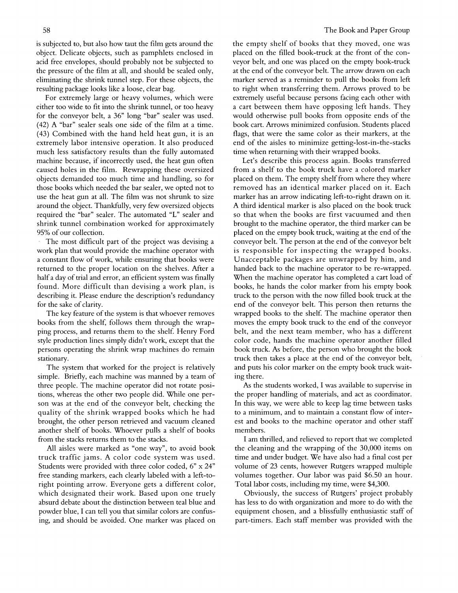is subjected to, but also how taut the film gets around the object. Delicate objects, such as pamphlets enclosed in acid free envelopes, should probably not be subjected to the pressure of the film at all, and should be sealed only, eliminating the shrink tunnel step. For these objects, the resulting package looks like a loose, clear bag.

For extremely large or heavy volumes, which were either too wide to fit into the shrink tunnel, or too heavy for the conveyor belt, a 36" long "bar" sealer was used. (42) A "bar" sealer seals one side of the film at a time. (43) Combined with the hand held heat gun, it is an extremely labor intensive operation. It also produced much less satisfactory results than the fully automated machine because, if incorrectly used, the heat gun often caused holes in the film. Rewrapping these oversized objects demanded too much time and handling, so for those books which needed the bar sealer, we opted not to use the heat gun at all. The film was not shrunk to size around the object. Thankfully, very few oversized objects required the "bar" sealer. The automated "L" sealer and shrink tunnel combination worked for approximately 95% of our collection.

The most difficult part of the project was devising a work plan that would provide the machine operator with a constant flow of work, while ensuring that books were returned to the proper location on the shelves. After a half a day of trial and error, an efficient system was finally found. More difficult than devising a work plan, is describing it. Please endure the description's redundancy for the sake of clarity.

The key feature of the system is that whoever removes books from the shelf, follows them through the wrapping process, and returns them to the shelf. Henry Ford style production lines simply didn't work, except that the persons operating the shrink wrap machines do remain stationary.

The system that worked for the project is relatively simple. Briefly, each machine was manned by a team of three people. The machine operator did not rotate positions, whereas the other two people did. While one person was at the end of the conveyor belt, checking the quality of the shrink wrapped books which he had brought, the other person retrieved and vacuum cleaned another shelf of books. Whoever pulls a shelf of books from the stacks returns them to the stacks.

All aisles were marked as "one way", to avoid book truck traffic jams. A color code system was used. Students were provided with three color coded, 6" x 24" free standing markers, each clearly labeled with a left-toright pointing arrow. Everyone gets a different color, which designated their work. Based upon one truely absurd debate about the distinction between teal blue and powder blue, I can tell you that similar colors are confusing, and should be avoided. One marker was placed on the empty shelf of books that they moved, one was placed on the filled book-truck at the front of the conveyor belt, and one was placed on the empty book-truck at the end of the conveyor belt. The arrow drawn on each marker served as a reminder to pull the books from left to right when transferring them. Arrows proved to be extremely useful because persons facing each other with a cart between them have opposing left hands. They would otherwise pull books from opposite ends of the book cart. Arrows minimized confusion. Students placed flags, that were the same color as their markers, at the end of the aisles to minimize getting-lost-in-the-stacks time when returning with their wrapped books.

Let's describe this process again. Books transferred from a shelf to the book truck have a colored marker placed on them. The empty shelf from where they where removed has an identical marker placed on it. Each marker has an arrow indicating left-to-right drawn on it. A third identical marker is also placed on the book truck so that when the books are first vacuumed and then brought to the machine operator, the third marker can be placed on the empty book truck, waiting at the end of the conveyor belt. The person at the end of the conveyor belt is responsible for inspecting the wrapped books. Unacceptable packages are unwrapped by him, and handed back to the machine operator to be re-wrapped. When the machine operator has completed a cart load of books, he hands the color marker from his empty book truck to the person with the now filled book truck at the end of the conveyor belt. This person then returns the wrapped books to the shelf. The machine operator then moves the empty book truck to the end of the conveyor belt, and the next team member, who has a different color code, hands the machine operator another filled book truck. As before, the person who brought the book truck then takes a place at the end of the conveyor belt, and puts his color marker on the empty book truck waiting there.

As the students worked, I was available to supervise in the proper handling of materials, and act as coordinator. In this way, we were able to keep lag time between tasks to a minimum, and to maintain a constant flow of interest and books to the machine operator and other staff members.

I am thrilled, and relieved to report that we completed the cleaning and the wrapping of the 30,000 items on time and under budget. We have also had a final cost per volume of 23 cents, however Rutgers wrapped multiple volumes together. Our labor was paid \$6.50 an hour. Total labor costs, including my time, were \$4,300.

Obviously, the success of Rutgers' project probably has less to do with organization and more to do with the equipment chosen, and a blissfully enthusiastic staff of part-timers. Each staff member was provided with the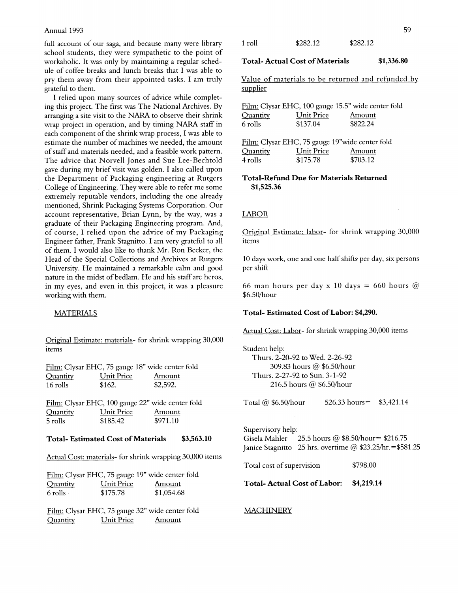#### Annual 1993 59

full account of our saga, and because many were library school students, they were sympathetic to the point of workaholic. It was only by maintaining a regular schedule of coffee breaks and lunch breaks that I was able to pry them away from their appointed tasks. I am truly grateful to them.

I relied upon many sources of advice while completing this project. The first was The National Archives. By arranging a site visit to the NARA to observe their shrink wrap project in operation, and by timing NARA staff in each component of the shrink wrap process, I was able to estimate the number of machines we needed, the amount of staff and materials needed, and a feasible work pattern. The advice that Norvell Jones and Sue Lee-Bechtold gave during my brief visit was golden. I also called upon the Department of Packaging engineering at Rutgers College of Engineering. They were able to refer me some extremely reputable vendors, including the one already mentioned, Shrink Packaging Systems Corporation. Our account representative, Brian Lynn, by the way, was a graduate of their Packaging Engineering program. And, of course, I relied upon the advice of my Packaging Engineer father, Frank Stagnitto. I am very grateful to all of them. I would also like to thank Mr. Ron Becker, the Head of the Special Collections and Archives at Rutgers University. He maintained a remarkable calm and good nature in the midst of bedlam. He and his staff are heros, in my eyes, and even in this project, it was a pleasure working with them.

# **MATERIALS**

Original Estimate: materials- for shrink wrapping 30,000 items

|          |            | Film: Clysar EHC, 75 gauge 18" wide center fold |
|----------|------------|-------------------------------------------------|
| Quantity | Unit Price | Amount                                          |
| 16 rolls | \$162.     | \$2.592.                                        |

Film: Clysar EHC, 100 gauge 22" wide center fold Quantity Unit Price Amount 5 rolls \$185.42 \$971.10

# **Total- Estimated Cost o f Materials \$3,563.10**

Actual Cost: materials- for shrink wrapping 30,000 items

|                   | Film: Clysar EHC, 75 gauge 19" wide center fold |            |
|-------------------|-------------------------------------------------|------------|
| Quantity          | Unit Price                                      | Amount     |
| $6$ rolls $\cdot$ | \$175.78                                        | \$1,054.68 |

Film: Clysar EHC, 75 gauge 32" wide center fold Quantity Unit Price Amount

lroll \$282.12 \$282.12

### **Total- Actual Cost o f Materials \$1,336.80**

Value of materials to be returned and refunded by supplier

|                 |            | <u>Film:</u> Clysar EHC, 100 gauge 15.5" wide center fold |
|-----------------|------------|-----------------------------------------------------------|
| <u>Quantity</u> | Unit Price | Amount                                                    |
| 6 rolls-        | \$137.04   | \$822.24                                                  |

Film: Clysar EHC, 75 gauge 19"wide center fold Quantity Unit Price Amount 4 rolls \$175.78 \$703.12

# **Total-Refund Due for Materials Returned \$1,525.36**

#### LABOR

Original Estimate: labor- for shrink wrapping 30,000 items

10 days work, one and one half shifts per day, six persons per shift

66 man hours per day x 10 days = 660 hours  $\omega$ \$6.50/hour

# **Total- Estimated Cost o f Labor: \$4,290.**

Actual Cost: Labor- for shrink wrapping 30,000 items

Student help: Thurs. 2-20-92 to Wed. 2-26-92 309.83 hours @ \$6.50/hour Thurs. 2-27-92 to Sun. 3-1-92 216.5 hours @ \$6.50/hour

Total @  $$6.50/hour$  526.33 hours = \$3,421.14

Supervisory help: Gisela Mahler 25.5 hours @  $$8.50/hour = $216.75$ Janice Stagnitto 25 hrs. overtime @ \$23.25/hr. = \$581.25

Total cost of supervision \$798.00

**Total- Actual Cost o f Labor: \$4,219.14** 

**MACHINERY**